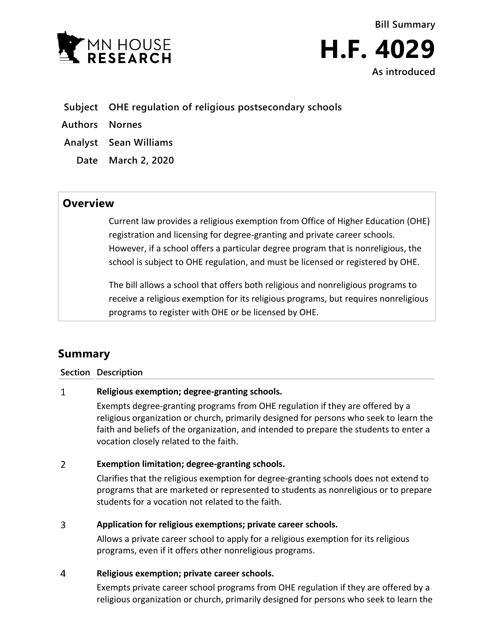



- **Subject OHE regulation of religious postsecondary schools**
- **Authors Nornes**
- **Analyst Sean Williams**
	- **Date March 2, 2020**

## **Overview**

Current law provides a religious exemption from Office of Higher Education (OHE) registration and licensing for degree-granting and private career schools. However, if a school offers a particular degree program that is nonreligious, the school is subject to OHE regulation, and must be licensed or registered by OHE.

The bill allows a school that offers both religious and nonreligious programs to receive a religious exemption for its religious programs, but requires nonreligious programs to register with OHE or be licensed by OHE.

# **Summary**

### **Section Description**

#### $\mathbf{1}$ **Religious exemption; degree-granting schools.**

Exempts degree-granting programs from OHE regulation if they are offered by a religious organization or church, primarily designed for persons who seek to learn the faith and beliefs of the organization, and intended to prepare the students to enter a vocation closely related to the faith.

#### $\overline{2}$ **Exemption limitation; degree-granting schools.**

Clarifies that the religious exemption for degree-granting schools does not extend to programs that are marketed or represented to students as nonreligious or to prepare students for a vocation not related to the faith.

#### 3 **Application for religious exemptions; private career schools.**

Allows a private career school to apply for a religious exemption for its religious programs, even if it offers other nonreligious programs.

#### $\overline{4}$ **Religious exemption; private career schools.**

Exempts private career school programs from OHE regulation if they are offered by a religious organization or church, primarily designed for persons who seek to learn the